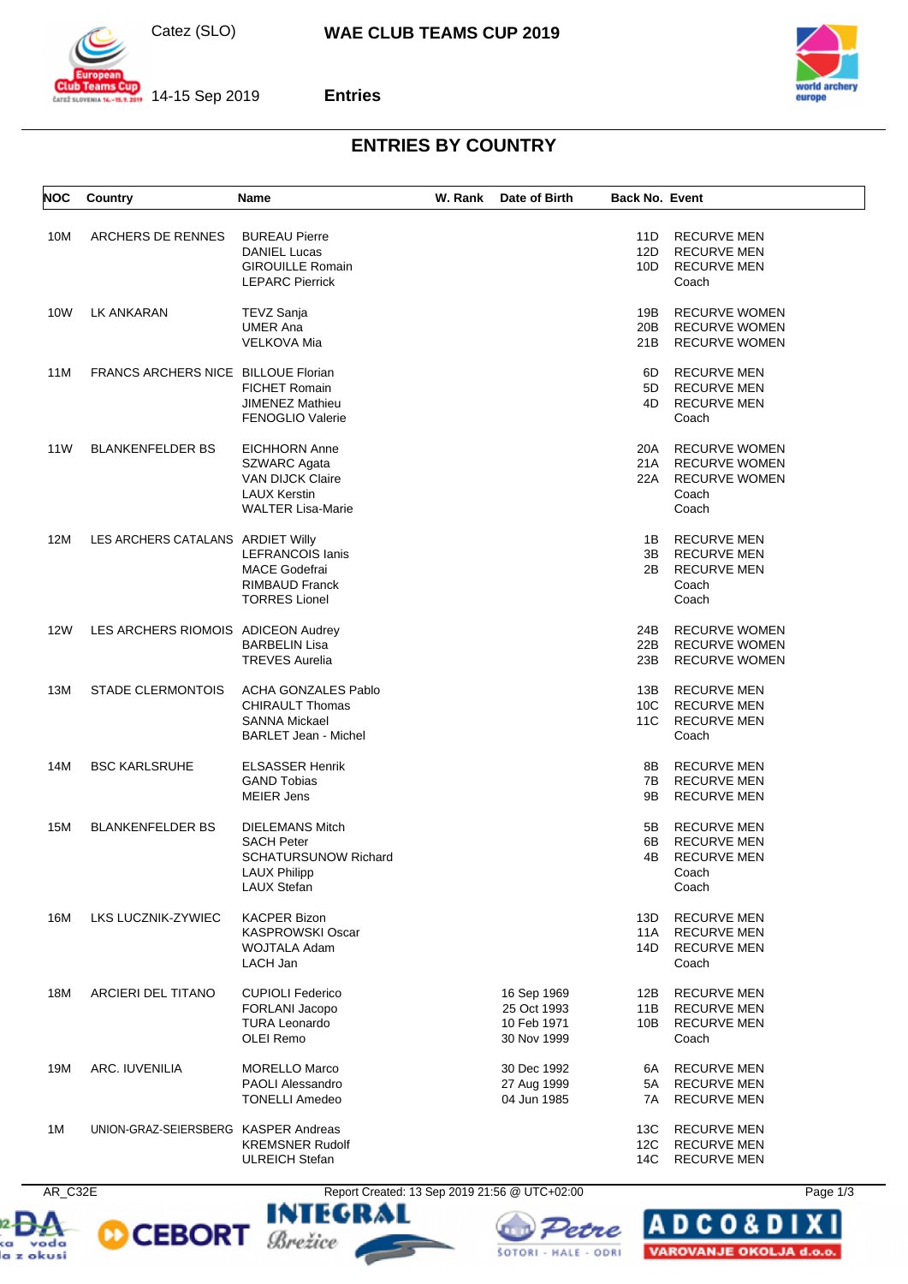



 $\frac{1}{201}$  14-15 Sep 2019



## **Entries**

## **ENTRIES BY COUNTRY**

| <b>NOC</b> | Country                              | <b>Name</b>                                                                                                        | W. Rank | Date of Birth                                            | <b>Back No. Event</b> |                                                                                        |
|------------|--------------------------------------|--------------------------------------------------------------------------------------------------------------------|---------|----------------------------------------------------------|-----------------------|----------------------------------------------------------------------------------------|
| 10M        | ARCHERS DE RENNES                    | <b>BUREAU Pierre</b><br><b>DANIEL Lucas</b><br><b>GIROUILLE Romain</b><br><b>LEPARC Pierrick</b>                   |         |                                                          | 11D<br>12D<br>10D     | <b>RECURVE MEN</b><br><b>RECURVE MEN</b><br><b>RECURVE MEN</b><br>Coach                |
| 10W        | LK ANKARAN                           | TEVZ Sanja<br><b>UMER Ana</b><br><b>VELKOVA Mia</b>                                                                |         |                                                          | 19B<br>20B<br>21B     | <b>RECURVE WOMEN</b><br><b>RECURVE WOMEN</b><br><b>RECURVE WOMEN</b>                   |
| 11M        | FRANCS ARCHERS NICE BILLOUE Florian  | <b>FICHET Romain</b><br><b>JIMENEZ Mathieu</b><br><b>FENOGLIO Valerie</b>                                          |         |                                                          | 6D<br>5D<br>4D        | <b>RECURVE MEN</b><br><b>RECURVE MEN</b><br><b>RECURVE MEN</b><br>Coach                |
| 11W        | <b>BLANKENFELDER BS</b>              | <b>EICHHORN Anne</b><br>SZWARC Agata<br><b>VAN DIJCK Claire</b><br><b>LAUX Kerstin</b><br><b>WALTER Lisa-Marie</b> |         |                                                          | 20A<br>21A<br>22A     | <b>RECURVE WOMEN</b><br><b>RECURVE WOMEN</b><br><b>RECURVE WOMEN</b><br>Coach<br>Coach |
| 12M        | LES ARCHERS CATALANS ARDIET Willy    | <b>LEFRANCOIS lanis</b><br><b>MACE Godefrai</b><br>RIMBAUD Franck<br><b>TORRES Lionel</b>                          |         |                                                          | 1B<br>3B<br>2B        | <b>RECURVE MEN</b><br><b>RECURVE MEN</b><br><b>RECURVE MEN</b><br>Coach<br>Coach       |
| <b>12W</b> | LES ARCHERS RIOMOIS ADICEON Audrey   | <b>BARBELIN Lisa</b><br><b>TREVES Aurelia</b>                                                                      |         |                                                          | 24B<br>22B<br>23B     | <b>RECURVE WOMEN</b><br><b>RECURVE WOMEN</b><br><b>RECURVE WOMEN</b>                   |
| 13M        | <b>STADE CLERMONTOIS</b>             | <b>ACHA GONZALES Pablo</b><br><b>CHIRAULT Thomas</b><br><b>SANNA Mickael</b><br><b>BARLET Jean - Michel</b>        |         |                                                          | 13B<br>10C<br>11C     | RECURVE MEN<br><b>RECURVE MEN</b><br><b>RECURVE MEN</b><br>Coach                       |
| 14M        | <b>BSC KARLSRUHE</b>                 | <b>ELSASSER Henrik</b><br><b>GAND Tobias</b><br><b>MEIER Jens</b>                                                  |         |                                                          | 8B<br>7B<br>9Β        | <b>RECURVE MEN</b><br><b>RECURVE MEN</b><br><b>RECURVE MEN</b>                         |
| 15M        | <b>BLANKENFELDER BS</b>              | <b>DIELEMANS Mitch</b><br><b>SACH Peter</b><br><b>SCHATURSUNOW Richard</b><br>LAUX Philipp<br><b>LAUX Stefan</b>   |         |                                                          | 5B<br>6В<br>4B        | <b>RECURVE MEN</b><br><b>RECURVE MEN</b><br><b>RECURVE MEN</b><br>Coach<br>Coach       |
| 16M        | LKS LUCZNIK-ZYWIEC                   | <b>KACPER Bizon</b><br><b>KASPROWSKI Oscar</b><br><b>WOJTALA Adam</b><br>LACH Jan                                  |         |                                                          | 13D<br>11A<br>14D     | <b>RECURVE MEN</b><br><b>RECURVE MEN</b><br><b>RECURVE MEN</b><br>Coach                |
| 18M        | ARCIERI DEL TITANO                   | <b>CUPIOLI Federico</b><br>FORLANI Jacopo<br><b>TURA Leonardo</b><br>OLEI Remo                                     |         | 16 Sep 1969<br>25 Oct 1993<br>10 Feb 1971<br>30 Nov 1999 | 12B<br>11B<br>10B     | <b>RECURVE MEN</b><br><b>RECURVE MEN</b><br><b>RECURVE MEN</b><br>Coach                |
| 19M        | ARC. IUVENILIA                       | MORELLO Marco<br><b>PAOLI Alessandro</b><br><b>TONELLI Amedeo</b>                                                  |         | 30 Dec 1992<br>27 Aug 1999<br>04 Jun 1985                | 6A<br>5A<br>7A        | <b>RECURVE MEN</b><br><b>RECURVE MEN</b><br><b>RECURVE MEN</b>                         |
| 1M         | UNION-GRAZ-SEIERSBERG KASPER Andreas | <b>KREMSNER Rudolf</b><br><b>ULREICH Stefan</b>                                                                    |         |                                                          | 13C<br>12C<br>14C     | <b>RECURVE MEN</b><br><b>RECURVE MEN</b><br><b>RECURVE MEN</b>                         |









**ADCO&D** VAROVANJE OKOLJA d.o.o.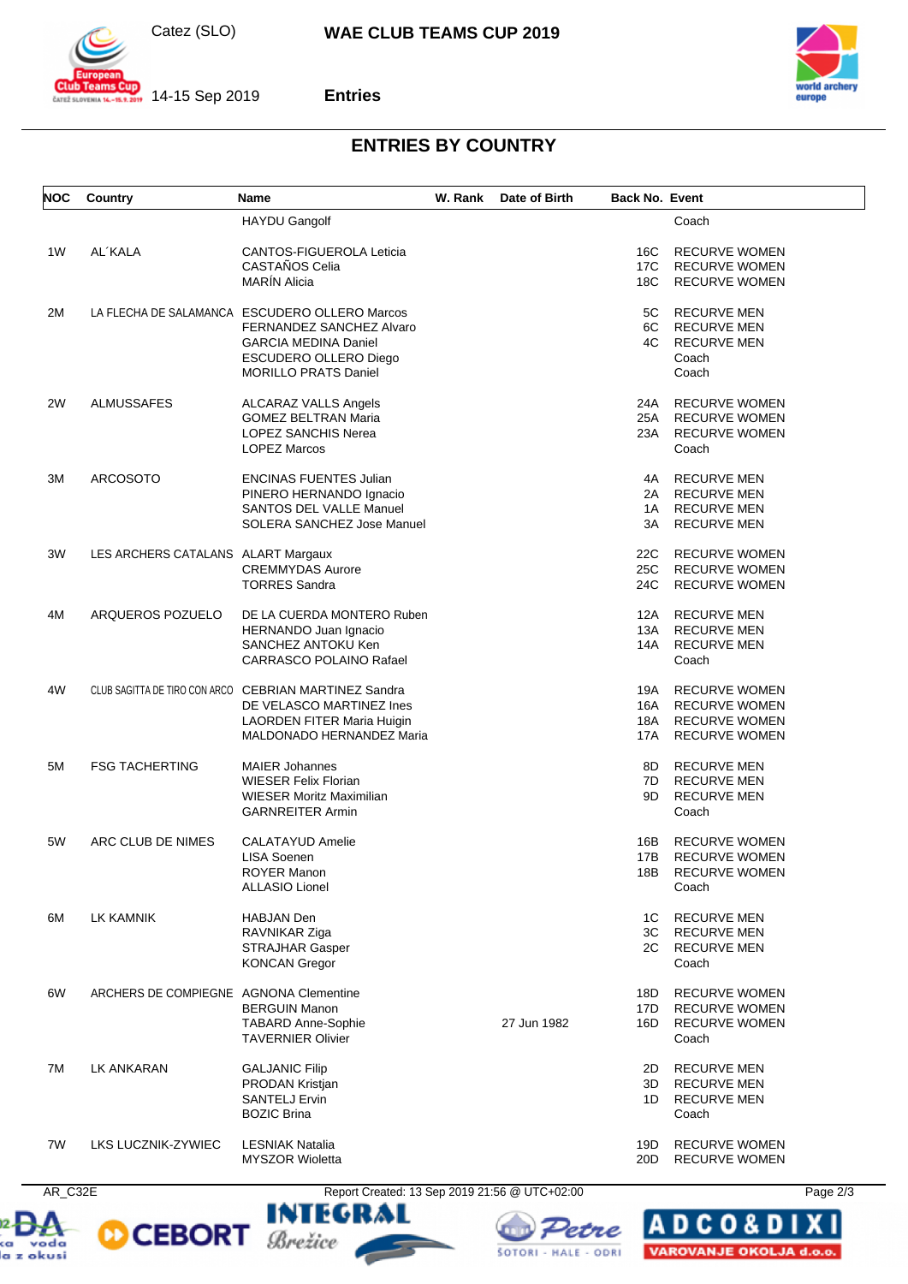



**Entries**



## **ENTRIES BY COUNTRY**

| <b>NOC</b> | Country                                | Name                                                        | W. Rank | Date of Birth | <b>Back No. Event</b> |                                      |
|------------|----------------------------------------|-------------------------------------------------------------|---------|---------------|-----------------------|--------------------------------------|
|            |                                        | <b>HAYDU Gangolf</b>                                        |         |               |                       | Coach                                |
| 1W         | AL'KALA                                | CANTOS-FIGUEROLA Leticia                                    |         |               | 16C                   | <b>RECURVE WOMEN</b>                 |
|            |                                        | CASTAÑOS Celia                                              |         |               | 17C                   | <b>RECURVE WOMEN</b>                 |
|            |                                        | <b>MARIN Alicia</b>                                         |         |               | 18C                   | <b>RECURVE WOMEN</b>                 |
| 2M         |                                        | LA FLECHA DE SALAMANCA ESCUDERO OLLERO Marcos               |         |               | 5C                    | <b>RECURVE MEN</b>                   |
|            |                                        | FERNANDEZ SANCHEZ Alvaro                                    |         |               | 4C                    | 6C RECURVE MEN<br><b>RECURVE MEN</b> |
|            |                                        | <b>GARCIA MEDINA Daniel</b><br><b>ESCUDERO OLLERO Diego</b> |         |               |                       | Coach                                |
|            |                                        | <b>MORILLO PRATS Daniel</b>                                 |         |               |                       | Coach                                |
| 2W         | <b>ALMUSSAFES</b>                      | ALCARAZ VALLS Angels                                        |         |               | 24A                   | <b>RECURVE WOMEN</b>                 |
|            |                                        | <b>GOMEZ BELTRAN Maria</b>                                  |         |               | 25A                   | <b>RECURVE WOMEN</b>                 |
|            |                                        | LOPEZ SANCHIS Nerea                                         |         |               | 23A                   | <b>RECURVE WOMEN</b>                 |
|            |                                        | <b>LOPEZ Marcos</b>                                         |         |               |                       | Coach                                |
| 3M         | <b>ARCOSOTO</b>                        | <b>ENCINAS FUENTES Julian</b>                               |         |               | 4A                    | <b>RECURVE MEN</b>                   |
|            |                                        | PINERO HERNANDO Ignacio                                     |         |               |                       | 2A RECURVE MEN                       |
|            |                                        | <b>SANTOS DEL VALLE Manuel</b>                              |         |               | 1A                    | <b>RECURVE MEN</b>                   |
|            |                                        | SOLERA SANCHEZ Jose Manuel                                  |         |               | 3A                    | <b>RECURVE MEN</b>                   |
| 3W         | LES ARCHERS CATALANS ALART Margaux     |                                                             |         |               | 22C                   | <b>RECURVE WOMEN</b>                 |
|            |                                        | <b>CREMMYDAS Aurore</b>                                     |         |               | 25C                   | <b>RECURVE WOMEN</b>                 |
|            |                                        | <b>TORRES Sandra</b>                                        |         |               | 24C                   | <b>RECURVE WOMEN</b>                 |
| 4M         | ARQUEROS POZUELO                       | DE LA CUERDA MONTERO Ruben                                  |         |               |                       | 12A RECURVE MEN                      |
|            |                                        | HERNANDO Juan Ignacio                                       |         |               | 13A                   | <b>RECURVE MEN</b>                   |
|            |                                        | SANCHEZ ANTOKU Ken                                          |         |               | 14A                   | <b>RECURVE MEN</b>                   |
|            |                                        | <b>CARRASCO POLAINO Rafael</b>                              |         |               |                       | Coach                                |
| 4W         |                                        | CLUB SAGITTA DE TIRO CON ARCO CEBRIAN MARTINEZ Sandra       |         |               | 19A                   | <b>RECURVE WOMEN</b>                 |
|            |                                        | DE VELASCO MARTINEZ Ines                                    |         |               | 16A                   | <b>RECURVE WOMEN</b>                 |
|            |                                        | LAORDEN FITER Maria Huigin                                  |         |               | 18A                   | <b>RECURVE WOMEN</b>                 |
|            |                                        | MALDONADO HERNANDEZ Maria                                   |         |               | 17A                   | <b>RECURVE WOMEN</b>                 |
| 5M         | <b>FSG TACHERTING</b>                  | <b>MAIER Johannes</b>                                       |         |               | 8D.                   | <b>RECURVE MEN</b>                   |
|            |                                        | <b>WIESER Felix Florian</b>                                 |         |               | 7D                    | <b>RECURVE MEN</b>                   |
|            |                                        | <b>WIESER Moritz Maximilian</b>                             |         |               | 9D                    | <b>RECURVE MEN</b>                   |
|            |                                        | <b>GARNREITER Armin</b>                                     |         |               |                       | Coach                                |
| 5W         | ARC CLUB DE NIMES                      | <b>CALATAYUD Amelie</b>                                     |         |               | 16B                   | <b>RECURVE WOMEN</b>                 |
|            |                                        | <b>LISA Soenen</b>                                          |         |               | 17B                   | <b>RECURVE WOMEN</b>                 |
|            |                                        | <b>ROYER Manon</b>                                          |         |               | 18B                   | <b>RECURVE WOMEN</b>                 |
|            |                                        | <b>ALLASIO Lionel</b>                                       |         |               |                       | Coach                                |
| 6M         | LK KAMNIK                              | <b>HABJAN</b> Den                                           |         |               | 1C                    | <b>RECURVE MEN</b>                   |
|            |                                        | RAVNIKAR Ziga                                               |         |               | 3C —                  | <b>RECURVE MEN</b>                   |
|            |                                        | <b>STRAJHAR Gasper</b>                                      |         |               | 2C                    | <b>RECURVE MEN</b>                   |
|            |                                        | <b>KONCAN Gregor</b>                                        |         |               |                       | Coach                                |
| 6W         | ARCHERS DE COMPIEGNE AGNONA Clementine |                                                             |         |               | 18D                   | <b>RECURVE WOMEN</b>                 |
|            |                                        | <b>BERGUIN Manon</b>                                        |         |               | 17D                   | <b>RECURVE WOMEN</b>                 |
|            |                                        | <b>TABARD Anne-Sophie</b>                                   |         | 27 Jun 1982   | 16D.                  | <b>RECURVE WOMEN</b>                 |
|            |                                        | <b>TAVERNIER Olivier</b>                                    |         |               |                       | Coach                                |
| 7M         | LK ANKARAN                             | <b>GALJANIC Filip</b>                                       |         |               | 2D                    | <b>RECURVE MEN</b>                   |
|            |                                        | PRODAN Kristjan                                             |         |               | 3D                    | <b>RECURVE MEN</b>                   |
|            |                                        | <b>SANTELJ Ervin</b>                                        |         |               | 1D.                   | <b>RECURVE MEN</b>                   |
|            |                                        | <b>BOZIC Brina</b>                                          |         |               |                       | Coach                                |
| 7W         | LKS LUCZNIK-ZYWIEC                     | <b>LESNIAK Natalia</b>                                      |         |               | 19D                   | <b>RECURVE WOMEN</b>                 |
|            |                                        | <b>MYSZOR Wioletta</b>                                      |         |               | 20D                   | <b>RECURVE WOMEN</b>                 |









l A

**DCO&D** 

VAROVANJE OKOLJA d.o.o.